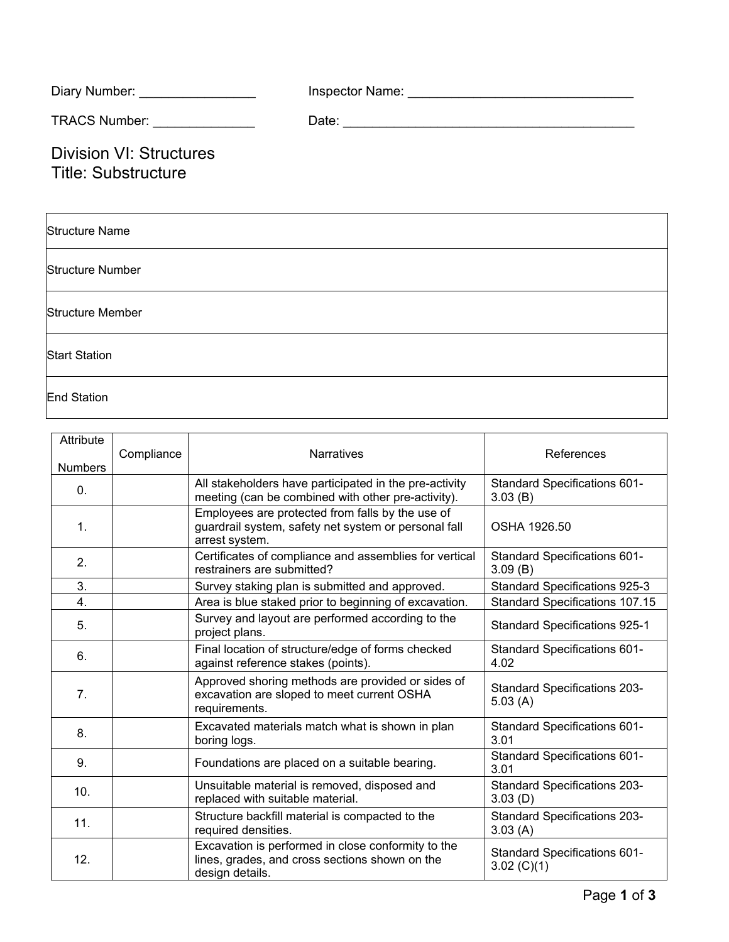| Diary Number: _________________                              |  |
|--------------------------------------------------------------|--|
| TRACS Number: _______________                                |  |
| <b>Division VI: Structures</b><br><b>Title: Substructure</b> |  |
| <b>Structure Name</b>                                        |  |
| <b>Structure Number</b>                                      |  |
| <b>Structure Member</b>                                      |  |
| <b>Start Station</b>                                         |  |
| <b>End Station</b>                                           |  |

| Attribute<br><b>Numbers</b> | Compliance | <b>Narratives</b>                                                                                                          | References                                     |
|-----------------------------|------------|----------------------------------------------------------------------------------------------------------------------------|------------------------------------------------|
| 0.                          |            | All stakeholders have participated in the pre-activity<br>meeting (can be combined with other pre-activity).               | Standard Specifications 601-<br>3.03(B)        |
| 1.                          |            | Employees are protected from falls by the use of<br>guardrail system, safety net system or personal fall<br>arrest system. | OSHA 1926.50                                   |
| 2.                          |            | Certificates of compliance and assemblies for vertical<br>restrainers are submitted?                                       | Standard Specifications 601-<br>3.09(B)        |
| 3.                          |            | Survey staking plan is submitted and approved.                                                                             | Standard Specifications 925-3                  |
| $\overline{4}$ .            |            | Area is blue staked prior to beginning of excavation.                                                                      | <b>Standard Specifications 107.15</b>          |
| 5.                          |            | Survey and layout are performed according to the<br>project plans.                                                         | <b>Standard Specifications 925-1</b>           |
| 6.                          |            | Final location of structure/edge of forms checked<br>against reference stakes (points).                                    | Standard Specifications 601-<br>4.02           |
| 7 <sub>1</sub>              |            | Approved shoring methods are provided or sides of<br>excavation are sloped to meet current OSHA<br>requirements.           | <b>Standard Specifications 203-</b><br>5.03(A) |
| 8.                          |            | Excavated materials match what is shown in plan<br>boring logs.                                                            | Standard Specifications 601-<br>3.01           |
| 9.                          |            | Foundations are placed on a suitable bearing.                                                                              | Standard Specifications 601-<br>3.01           |
| 10.                         |            | Unsuitable material is removed, disposed and<br>replaced with suitable material.                                           | <b>Standard Specifications 203-</b><br>3.03(D) |
| 11.                         |            | Structure backfill material is compacted to the<br>required densities.                                                     | <b>Standard Specifications 203-</b><br>3.03(A) |
| 12.                         |            | Excavation is performed in close conformity to the<br>lines, grades, and cross sections shown on the<br>design details.    | Standard Specifications 601-<br>3.02 $(C)(1)$  |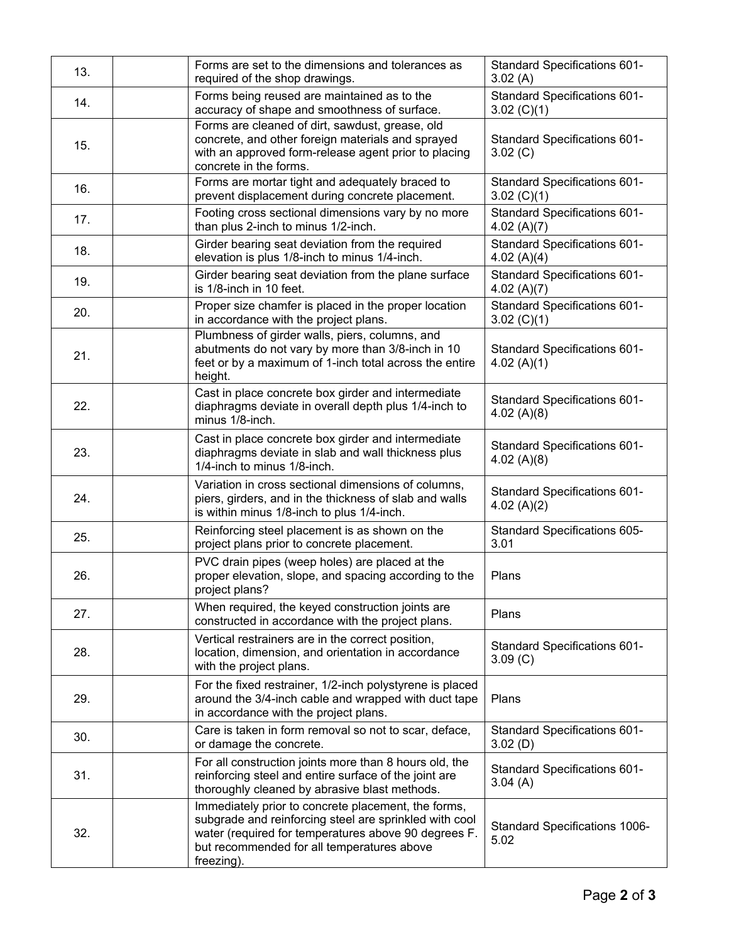| 13. | Forms are set to the dimensions and tolerances as<br>required of the shop drawings.                                                                                                                                               | Standard Specifications 601-<br>3.02(A)              |
|-----|-----------------------------------------------------------------------------------------------------------------------------------------------------------------------------------------------------------------------------------|------------------------------------------------------|
| 14. | Forms being reused are maintained as to the<br>accuracy of shape and smoothness of surface.                                                                                                                                       | <b>Standard Specifications 601-</b><br>3.02 $(C)(1)$ |
| 15. | Forms are cleaned of dirt, sawdust, grease, old<br>concrete, and other foreign materials and sprayed<br>with an approved form-release agent prior to placing<br>concrete in the forms.                                            | <b>Standard Specifications 601-</b><br>3.02 (C)      |
| 16. | Forms are mortar tight and adequately braced to<br>prevent displacement during concrete placement.                                                                                                                                | Standard Specifications 601-<br>3.02 $(C)(1)$        |
| 17. | Footing cross sectional dimensions vary by no more<br>than plus 2-inch to minus 1/2-inch.                                                                                                                                         | Standard Specifications 601-<br>4.02 $(A)(7)$        |
| 18. | Girder bearing seat deviation from the required<br>elevation is plus 1/8-inch to minus 1/4-inch.                                                                                                                                  | <b>Standard Specifications 601-</b><br>4.02 $(A)(4)$ |
| 19. | Girder bearing seat deviation from the plane surface<br>is 1/8-inch in 10 feet.                                                                                                                                                   | Standard Specifications 601-<br>4.02(A)(7)           |
| 20. | Proper size chamfer is placed in the proper location<br>in accordance with the project plans.                                                                                                                                     | Standard Specifications 601-<br>3.02 $(C)(1)$        |
| 21. | Plumbness of girder walls, piers, columns, and<br>abutments do not vary by more than 3/8-inch in 10<br>feet or by a maximum of 1-inch total across the entire<br>height.                                                          | Standard Specifications 601-<br>4.02 $(A)(1)$        |
| 22. | Cast in place concrete box girder and intermediate<br>diaphragms deviate in overall depth plus 1/4-inch to<br>minus 1/8-inch.                                                                                                     | Standard Specifications 601-<br>4.02 $(A)(8)$        |
| 23. | Cast in place concrete box girder and intermediate<br>diaphragms deviate in slab and wall thickness plus<br>1/4-inch to minus 1/8-inch.                                                                                           | Standard Specifications 601-<br>4.02 $(A)(8)$        |
| 24. | Variation in cross sectional dimensions of columns,<br>piers, girders, and in the thickness of slab and walls<br>is within minus 1/8-inch to plus 1/4-inch.                                                                       | Standard Specifications 601-<br>4.02 $(A)(2)$        |
| 25. | Reinforcing steel placement is as shown on the<br>project plans prior to concrete placement.                                                                                                                                      | Standard Specifications 605-<br>3.01                 |
| 26. | PVC drain pipes (weep holes) are placed at the<br>proper elevation, slope, and spacing according to the<br>project plans?                                                                                                         | Plans                                                |
| 27. | When required, the keyed construction joints are<br>constructed in accordance with the project plans.                                                                                                                             | Plans                                                |
| 28. | Vertical restrainers are in the correct position,<br>location, dimension, and orientation in accordance<br>with the project plans.                                                                                                | Standard Specifications 601-<br>3.09(C)              |
| 29. | For the fixed restrainer, 1/2-inch polystyrene is placed<br>around the 3/4-inch cable and wrapped with duct tape<br>in accordance with the project plans.                                                                         | Plans                                                |
| 30. | Care is taken in form removal so not to scar, deface,<br>or damage the concrete.                                                                                                                                                  | Standard Specifications 601-<br>3.02(D)              |
| 31. | For all construction joints more than 8 hours old, the<br>reinforcing steel and entire surface of the joint are<br>thoroughly cleaned by abrasive blast methods.                                                                  | Standard Specifications 601-<br>3.04(A)              |
| 32. | Immediately prior to concrete placement, the forms,<br>subgrade and reinforcing steel are sprinkled with cool<br>water (required for temperatures above 90 degrees F.<br>but recommended for all temperatures above<br>freezing). | Standard Specifications 1006-<br>5.02                |